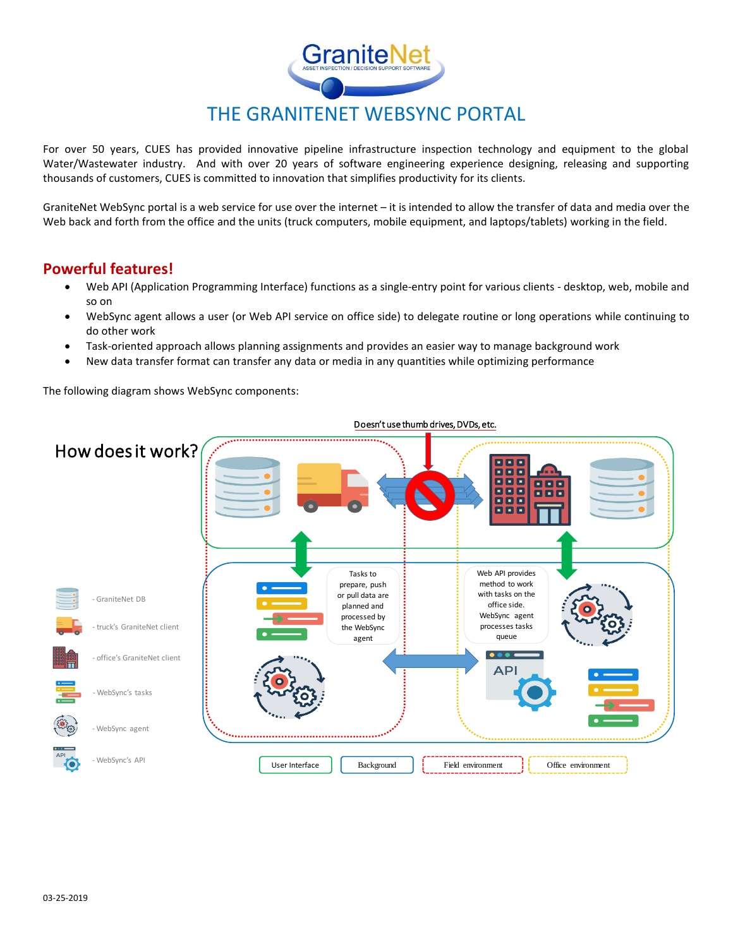

For over 50 years, CUES has provided innovative pipeline infrastructure inspection technology and equipment to the global Water/Wastewater industry. And with over 20 years of software engineering experience designing, releasing and supporting thousands of customers, CUES is committed to innovation that simplifies productivity for its clients.

GraniteNet WebSync portal is a web service for use over the internet – it is intended to allow the transfer of data and media over the Web back and forth from the office and the units (truck computers, mobile equipment, and laptops/tablets) working in the field.

## **Powerful features!**

- Web API (Application Programming Interface) functions as a single-entry point for various clients desktop, web, mobile and so on
- WebSync agent allows a user (or Web API service on office side) to delegate routine or long operations while continuing to do other work
- Task-oriented approach allows planning assignments and provides an easier way to manage background work
- New data transfer format can transfer any data or media in any quantities while optimizing performance

The following diagram shows WebSync components:



## Doesn't use thumb drives, DVDs, etc.